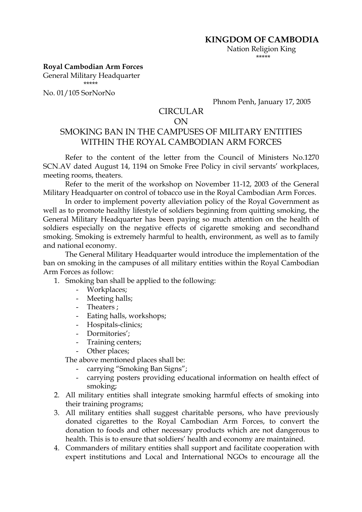Nation Religion King \*\*\*\*\*

## **Royal Cambodian Arm Forces**

General Military Headquarter \*\*\*\*\*

No. 01/105 SorNorNo

Phnom Penh, January 17, 2005

## CIRCULAR

## ON

## SMOKING BAN IN THE CAMPUSES OF MILITARY ENTITIES WITHIN THE ROYAL CAMBODIAN ARM FORCES

Refer to the content of the letter from the Council of Ministers No.1270 SCN.AV dated August 14, 1194 on Smoke Free Policy in civil servants' workplaces, meeting rooms, theaters.

Refer to the merit of the workshop on November 11-12, 2003 of the General Military Headquarter on control of tobacco use in the Royal Cambodian Arm Forces.

In order to implement poverty alleviation policy of the Royal Government as well as to promote healthy lifestyle of soldiers beginning from quitting smoking, the General Military Headquarter has been paying so much attention on the health of soldiers especially on the negative effects of cigarette smoking and secondhand smoking. Smoking is extremely harmful to health, environment, as well as to family and national economy.

The General Military Headquarter would introduce the implementation of the ban on smoking in the campuses of all military entities within the Royal Cambodian Arm Forces as follow:

- 1. Smoking ban shall be applied to the following:
	- Workplaces;
	- Meeting halls;
	- Theaters ;
	- Eating halls, workshops;
	- Hospitals-clinics;
	- Dormitories';
	- Training centers;
	- Other places;

The above mentioned places shall be:

- carrying "Smoking Ban Signs";
- carrying posters providing educational information on health effect of smoking;
- 2. All military entities shall integrate smoking harmful effects of smoking into their training programs;
- 3. All military entities shall suggest charitable persons, who have previously donated cigarettes to the Royal Cambodian Arm Forces, to convert the donation to foods and other necessary products which are not dangerous to health. This is to ensure that soldiers' health and economy are maintained.
- 4. Commanders of military entities shall support and facilitate cooperation with expert institutions and Local and International NGOs to encourage all the